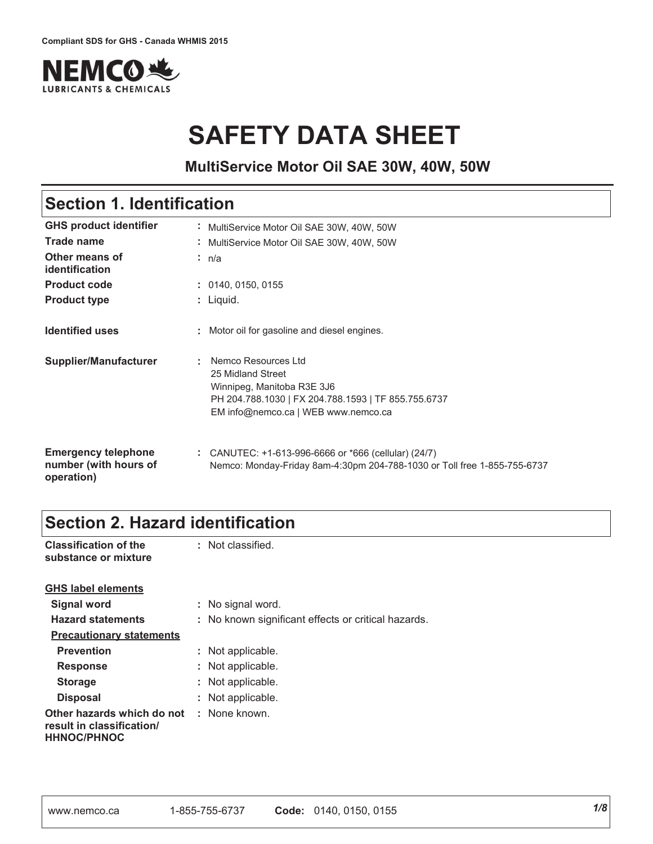

# **SAFETY DATA SHEET**

**MultiService Motor Oil SAE 30W, 40W, 50W**

### **Section 1. Identification**

| <b>GHS product identifier</b>                                     | : MultiService Motor Oil SAE 30W, 40W, 50W                                                                                                                           |
|-------------------------------------------------------------------|----------------------------------------------------------------------------------------------------------------------------------------------------------------------|
| Trade name                                                        | MultiService Motor Oil SAE 30W, 40W, 50W                                                                                                                             |
| Other means of<br><i>identification</i>                           | : n/a                                                                                                                                                                |
| <b>Product code</b>                                               | : 0140, 0150, 0155                                                                                                                                                   |
| <b>Product type</b>                                               | : Liquid.                                                                                                                                                            |
| <b>Identified uses</b>                                            | : Motor oil for gasoline and diesel engines.                                                                                                                         |
| <b>Supplier/Manufacturer</b>                                      | Nemco Resources Ltd<br>25 Midland Street<br>Winnipeg, Manitoba R3E 3J6<br>PH 204.788.1030   FX 204.788.1593   TF 855.755.6737<br>EM info@nemco.ca   WEB www.nemco.ca |
| <b>Emergency telephone</b><br>number (with hours of<br>operation) | : CANUTEC: +1-613-996-6666 or *666 (cellular) (24/7)<br>Nemco: Monday-Friday 8am-4:30pm 204-788-1030 or Toll free 1-855-755-6737                                     |

# **Section 2. Hazard identification**

| <b>Classification of the</b><br>substance or mixture                          | : Not classified.                                   |
|-------------------------------------------------------------------------------|-----------------------------------------------------|
| <b>GHS label elements</b>                                                     |                                                     |
| Signal word                                                                   | : No signal word.                                   |
| <b>Hazard statements</b>                                                      | : No known significant effects or critical hazards. |
| <b>Precautionary statements</b>                                               |                                                     |
| <b>Prevention</b>                                                             | : Not applicable.                                   |
| <b>Response</b>                                                               | : Not applicable.                                   |
| <b>Storage</b>                                                                | : Not applicable.                                   |
| <b>Disposal</b>                                                               | : Not applicable.                                   |
| Other hazards which do not<br>result in classification/<br><b>HHNOC/PHNOC</b> | : None known.                                       |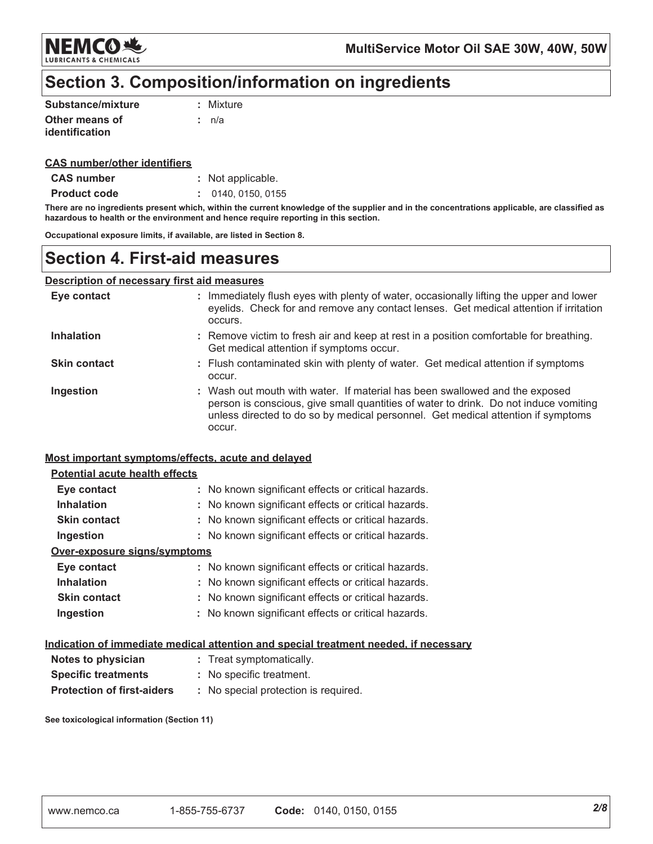

### Section 3. Composition/information on ingredients

| Substance/mixture | : Mixture |
|-------------------|-----------|
| Other means of    | t n/a     |
| identification    |           |

#### **CAS number/other identifiers**

| <b>CAS number</b> | : Not applicable. |
|-------------------|-------------------|
|-------------------|-------------------|

**Product code** : 0140, 0150, 0155

There are no ingredients present which, within the current knowledge of the supplier and in the concentrations applicable, are classified as hazardous to health or the environment and hence require reporting in this section.

Occupational exposure limits, if available, are listed in Section 8.

### **Section 4. First-aid measures**

#### **Description of necessary first aid measures**

| Eye contact         | : Immediately flush eyes with plenty of water, occasionally lifting the upper and lower<br>eyelids. Check for and remove any contact lenses. Get medical attention if irritation<br>occurs.                                                                       |
|---------------------|-------------------------------------------------------------------------------------------------------------------------------------------------------------------------------------------------------------------------------------------------------------------|
| <b>Inhalation</b>   | : Remove victim to fresh air and keep at rest in a position comfortable for breathing.<br>Get medical attention if symptoms occur.                                                                                                                                |
| <b>Skin contact</b> | : Flush contaminated skin with plenty of water. Get medical attention if symptoms<br>occur.                                                                                                                                                                       |
| Ingestion           | : Wash out mouth with water. If material has been swallowed and the exposed<br>person is conscious, give small quantities of water to drink. Do not induce vomiting<br>unless directed to do so by medical personnel. Get medical attention if symptoms<br>occur. |

#### Most important symptoms/effects, acute and delayed

#### **Potential acute health effects**

| Eye contact                  | : No known significant effects or critical hazards. |
|------------------------------|-----------------------------------------------------|
| <b>Inhalation</b>            | : No known significant effects or critical hazards. |
| <b>Skin contact</b>          | : No known significant effects or critical hazards. |
| Ingestion                    | : No known significant effects or critical hazards. |
| Over-exposure signs/symptoms |                                                     |
| Eye contact                  | : No known significant effects or critical hazards. |
| <b>Inhalation</b>            | : No known significant effects or critical hazards. |
| <b>Skin contact</b>          | : No known significant effects or critical hazards. |
| Ingestion                    | : No known significant effects or critical hazards. |

#### Indication of immediate medical attention and special treatment needed, if necessary

| Notes to physician                | : Treat symptomatically.            |
|-----------------------------------|-------------------------------------|
| <b>Specific treatments</b>        | : No specific treatment.            |
| <b>Protection of first-aiders</b> | : No special protection is required |

See toxicological information (Section 11)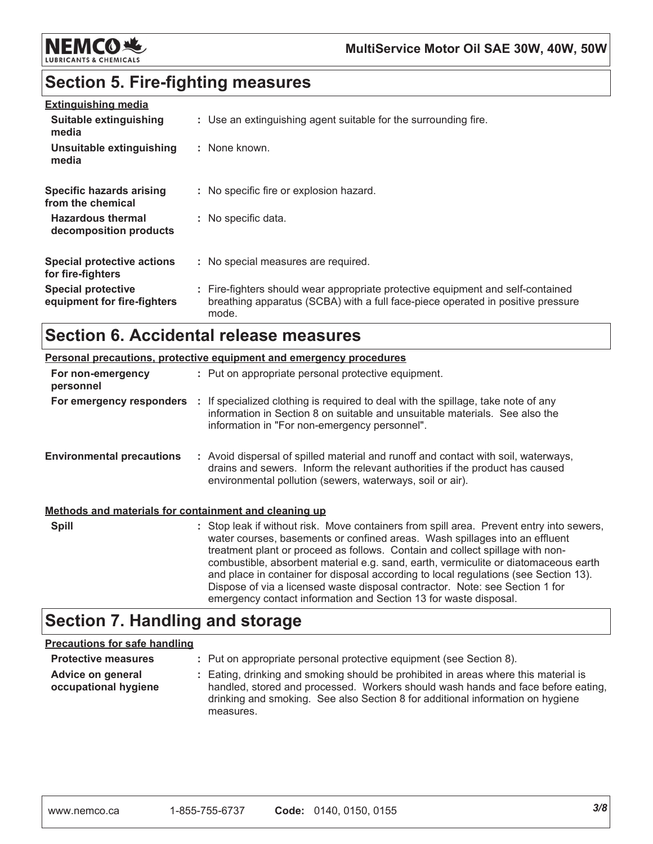

# **Section 5. Fire-fighting measures**

| <b>Extinguishing media</b>                               |                                                                                                                                                                             |
|----------------------------------------------------------|-----------------------------------------------------------------------------------------------------------------------------------------------------------------------------|
| Suitable extinguishing<br>media                          | : Use an extinguishing agent suitable for the surrounding fire.                                                                                                             |
| Unsuitable extinguishing<br>media                        | : None known.                                                                                                                                                               |
| Specific hazards arising<br>from the chemical            | : No specific fire or explosion hazard.                                                                                                                                     |
| <b>Hazardous thermal</b><br>decomposition products       | : No specific data.                                                                                                                                                         |
| <b>Special protective actions</b><br>for fire-fighters   | : No special measures are required.                                                                                                                                         |
| <b>Special protective</b><br>equipment for fire-fighters | : Fire-fighters should wear appropriate protective equipment and self-contained<br>breathing apparatus (SCBA) with a full face-piece operated in positive pressure<br>mode. |

# **Section 6. Accidental release measures**

|                                                       | <b>Personal precautions, protective equipment and emergency procedures</b>                                                                                                                                                                                                                                                                                                                                                                                                                                                                                                                  |
|-------------------------------------------------------|---------------------------------------------------------------------------------------------------------------------------------------------------------------------------------------------------------------------------------------------------------------------------------------------------------------------------------------------------------------------------------------------------------------------------------------------------------------------------------------------------------------------------------------------------------------------------------------------|
| For non-emergency<br>personnel                        | : Put on appropriate personal protective equipment.                                                                                                                                                                                                                                                                                                                                                                                                                                                                                                                                         |
| For emergency responders                              | : If specialized clothing is required to deal with the spillage, take note of any<br>information in Section 8 on suitable and unsuitable materials. See also the<br>information in "For non-emergency personnel".                                                                                                                                                                                                                                                                                                                                                                           |
| <b>Environmental precautions</b>                      | : Avoid dispersal of spilled material and runoff and contact with soil, waterways,<br>drains and sewers. Inform the relevant authorities if the product has caused<br>environmental pollution (sewers, waterways, soil or air).                                                                                                                                                                                                                                                                                                                                                             |
| Methods and materials for containment and cleaning up |                                                                                                                                                                                                                                                                                                                                                                                                                                                                                                                                                                                             |
| <b>Spill</b>                                          | : Stop leak if without risk. Move containers from spill area. Prevent entry into sewers,<br>water courses, basements or confined areas. Wash spillages into an effluent<br>treatment plant or proceed as follows. Contain and collect spillage with non-<br>combustible, absorbent material e.g. sand, earth, vermiculite or diatomaceous earth<br>and place in container for disposal according to local regulations (see Section 13).<br>Dispose of via a licensed waste disposal contractor. Note: see Section 1 for<br>emergency contact information and Section 13 for waste disposal. |

# **Section 7. Handling and storage**

#### **Precautions for safe handling**

| <b>Protective measures</b>                | : Put on appropriate personal protective equipment (see Section 8).                                                                                                                                                                                                    |
|-------------------------------------------|------------------------------------------------------------------------------------------------------------------------------------------------------------------------------------------------------------------------------------------------------------------------|
| Advice on general<br>occupational hygiene | : Eating, drinking and smoking should be prohibited in areas where this material is<br>handled, stored and processed. Workers should wash hands and face before eating,<br>drinking and smoking. See also Section 8 for additional information on hygiene<br>measures. |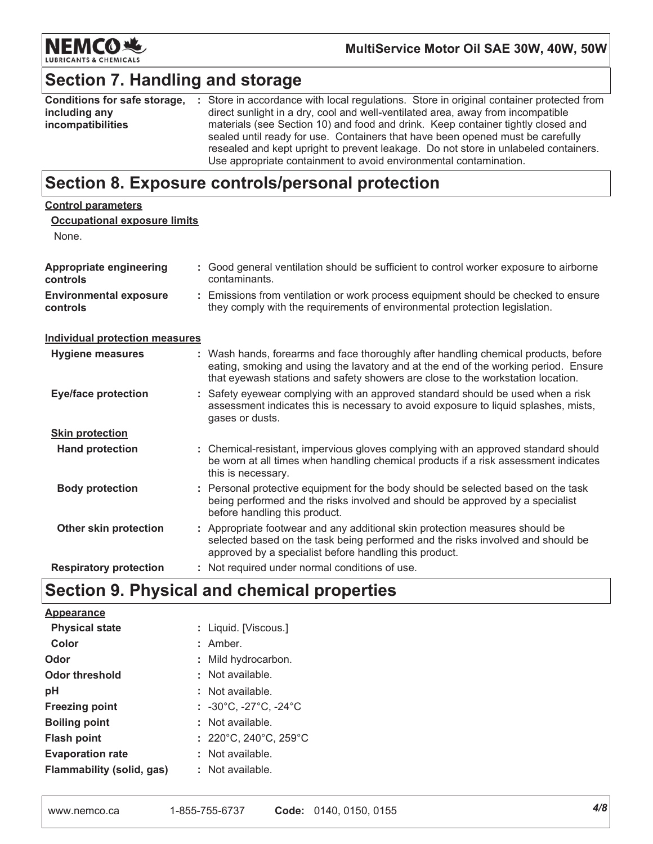

# **Section 7. Handling and storage**

| Conditions for safe storage, | : Store in accordance with local regulations. Store in original container protected from                                                                           |
|------------------------------|--------------------------------------------------------------------------------------------------------------------------------------------------------------------|
| including any                | direct sunlight in a dry, cool and well-ventilated area, away from incompatible                                                                                    |
| incompatibilities            | materials (see Section 10) and food and drink. Keep container tightly closed and<br>sealed until ready for use. Containers that have been opened must be carefully |
|                              | resealed and kept upright to prevent leakage. Do not store in unlabeled containers.                                                                                |
|                              | Use appropriate containment to avoid environmental contamination.                                                                                                  |

### Section 8. Exposure controls/personal protection

| <b>Control parameters</b>                    |                                                                                                                                                                                                                                                               |
|----------------------------------------------|---------------------------------------------------------------------------------------------------------------------------------------------------------------------------------------------------------------------------------------------------------------|
| <b>Occupational exposure limits</b><br>None. |                                                                                                                                                                                                                                                               |
| <b>Appropriate engineering</b><br>controls   | : Good general ventilation should be sufficient to control worker exposure to airborne<br>contaminants.                                                                                                                                                       |
| <b>Environmental exposure</b><br>controls    | : Emissions from ventilation or work process equipment should be checked to ensure<br>they comply with the requirements of environmental protection legislation.                                                                                              |
| <b>Individual protection measures</b>        |                                                                                                                                                                                                                                                               |
| <b>Hygiene measures</b>                      | : Wash hands, forearms and face thoroughly after handling chemical products, before<br>eating, smoking and using the lavatory and at the end of the working period. Ensure<br>that eyewash stations and safety showers are close to the workstation location. |
| <b>Eye/face protection</b>                   | : Safety eyewear complying with an approved standard should be used when a risk<br>assessment indicates this is necessary to avoid exposure to liquid splashes, mists,<br>gases or dusts.                                                                     |
| <b>Skin protection</b>                       |                                                                                                                                                                                                                                                               |
| <b>Hand protection</b>                       | : Chemical-resistant, impervious gloves complying with an approved standard should<br>be worn at all times when handling chemical products if a risk assessment indicates<br>this is necessary.                                                               |
| <b>Body protection</b>                       | : Personal protective equipment for the body should be selected based on the task<br>being performed and the risks involved and should be approved by a specialist<br>before handling this product.                                                           |
| <b>Other skin protection</b>                 | : Appropriate footwear and any additional skin protection measures should be<br>selected based on the task being performed and the risks involved and should be<br>approved by a specialist before handling this product.                                     |
| <b>Respiratory protection</b>                | : Not required under normal conditions of use.                                                                                                                                                                                                                |

# Section 9. Physical and chemical properties

| Appearance                |                                                       |
|---------------------------|-------------------------------------------------------|
| <b>Physical state</b>     | : Liquid. [Viscous.]                                  |
| Color                     | $:$ Amber.                                            |
| Odor                      | : Mild hydrocarbon.                                   |
| Odor threshold            | : Not available.                                      |
| рH                        | : Not available.                                      |
| <b>Freezing point</b>     | : $-30^{\circ}$ C, $-27^{\circ}$ C, $-24^{\circ}$ C   |
| <b>Boiling point</b>      | : Not available.                                      |
| <b>Flash point</b>        | $: 220^{\circ}$ C, 240 $^{\circ}$ C, 259 $^{\circ}$ C |
| <b>Evaporation rate</b>   | : Not available.                                      |
| Flammability (solid, gas) | : Not available.                                      |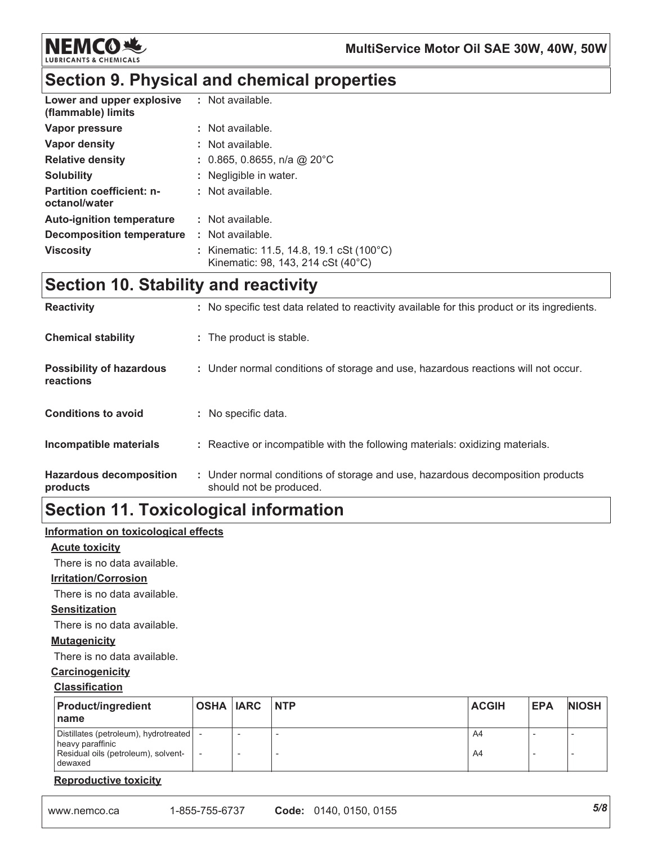

# Section 9. Physical and chemical properties

| Lower and upper explosive<br>(flammable) limits   | : Not available.                                                                |
|---------------------------------------------------|---------------------------------------------------------------------------------|
| Vapor pressure                                    | : Not available.                                                                |
| Vapor density                                     | : Not available.                                                                |
| <b>Relative density</b>                           | : 0.865, 0.8655, n/a @ 20°C                                                     |
| <b>Solubility</b>                                 | : Negligible in water.                                                          |
| <b>Partition coefficient: n-</b><br>octanol/water | : Not available.                                                                |
| <b>Auto-ignition temperature</b>                  | : Not available.                                                                |
| Decomposition temperature                         | : Not available.                                                                |
| <b>Viscosity</b>                                  | : Kinematic: 11.5, 14.8, 19.1 cSt (100°C)<br>Kinematic: 98, 143, 214 cSt (40°C) |

## **Section 10. Stability and reactivity**

| <b>Reactivity</b>                            | : No specific test data related to reactivity available for this product or its ingredients.              |
|----------------------------------------------|-----------------------------------------------------------------------------------------------------------|
| <b>Chemical stability</b>                    | : The product is stable.                                                                                  |
| <b>Possibility of hazardous</b><br>reactions | : Under normal conditions of storage and use, hazardous reactions will not occur.                         |
| <b>Conditions to avoid</b>                   | : No specific data.                                                                                       |
| Incompatible materials                       | : Reactive or incompatible with the following materials: oxidizing materials.                             |
| <b>Hazardous decomposition</b><br>products   | : Under normal conditions of storage and use, hazardous decomposition products<br>should not be produced. |

# **Section 11. Toxicological information**

#### Information on toxicological effects

#### **Acute toxicity**

There is no data available.

#### **Irritation/Corrosion**

There is no data available.

#### **Sensitization**

There is no data available.

#### **Mutagenicity**

There is no data available.

#### Carcinogenicity

#### **Classification**

| <b>Product/ingredient</b><br>name                                                                           | OSHA IARC INTP | <b>ACGIH</b> | <b>EPA</b> | <b>NIOSH</b> |
|-------------------------------------------------------------------------------------------------------------|----------------|--------------|------------|--------------|
| Distillates (petroleum), hydrotreated<br>heavy paraffinic<br>Residual oils (petroleum), solvent-<br>dewaxed |                | A4<br>A4     |            |              |

#### **Reproductive toxicity**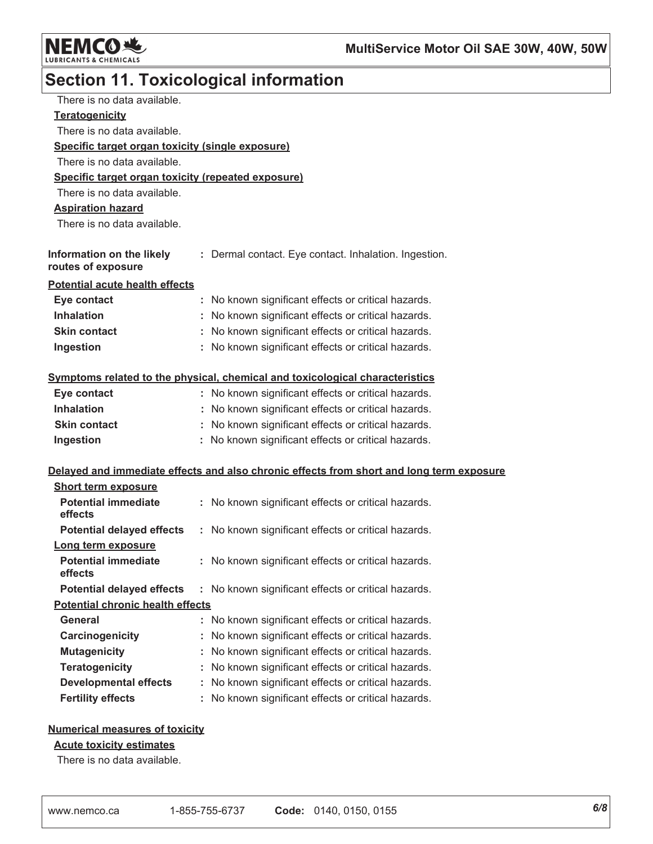

# **Section 11. Toxicological information**

| There is no data available.                        |    |                                                                                          |
|----------------------------------------------------|----|------------------------------------------------------------------------------------------|
| <b>Teratogenicity</b>                              |    |                                                                                          |
| There is no data available.                        |    |                                                                                          |
| Specific target organ toxicity (single exposure)   |    |                                                                                          |
| There is no data available.                        |    |                                                                                          |
| Specific target organ toxicity (repeated exposure) |    |                                                                                          |
| There is no data available.                        |    |                                                                                          |
| <b>Aspiration hazard</b>                           |    |                                                                                          |
| There is no data available.                        |    |                                                                                          |
| Information on the likely<br>routes of exposure    |    | : Dermal contact. Eye contact. Inhalation. Ingestion.                                    |
| <b>Potential acute health effects</b>              |    |                                                                                          |
| Eye contact                                        |    | : No known significant effects or critical hazards.                                      |
| <b>Inhalation</b>                                  |    | : No known significant effects or critical hazards.                                      |
| <b>Skin contact</b>                                | t. | No known significant effects or critical hazards.                                        |
| Ingestion                                          |    | : No known significant effects or critical hazards.                                      |
|                                                    |    | Symptoms related to the physical, chemical and toxicological characteristics             |
| Eye contact                                        |    | : No known significant effects or critical hazards.                                      |
| <b>Inhalation</b>                                  |    | : No known significant effects or critical hazards.                                      |
| <b>Skin contact</b>                                |    | : No known significant effects or critical hazards.                                      |
| Ingestion                                          |    | : No known significant effects or critical hazards.                                      |
|                                                    |    | Delayed and immediate effects and also chronic effects from short and long term exposure |
| <b>Short term exposure</b>                         |    |                                                                                          |
| <b>Potential immediate</b><br>effects              |    | : No known significant effects or critical hazards.                                      |
| <b>Potential delayed effects</b>                   | ÷. | No known significant effects or critical hazards.                                        |
| Long term exposure                                 |    |                                                                                          |
| <b>Potential immediate</b><br>effects              |    | : No known significant effects or critical hazards.                                      |
| <b>Potential delayed effects</b>                   |    | : No known significant effects or critical hazards.                                      |
| <b>Potential chronic health effects</b>            |    |                                                                                          |
| <b>General</b>                                     | ř. | No known significant effects or critical hazards.                                        |
| Carcinogenicity                                    |    | No known significant effects or critical hazards.                                        |
| <b>Mutagenicity</b>                                |    | No known significant effects or critical hazards.                                        |
| <b>Teratogenicity</b>                              |    | No known significant effects or critical hazards.                                        |
| <b>Developmental effects</b>                       |    | No known significant effects or critical hazards.                                        |
| <b>Fertility effects</b>                           |    | No known significant effects or critical hazards.                                        |
|                                                    |    |                                                                                          |

#### **Numerical measures of toxicity**

#### **Acute toxicity estimates**

There is no data available.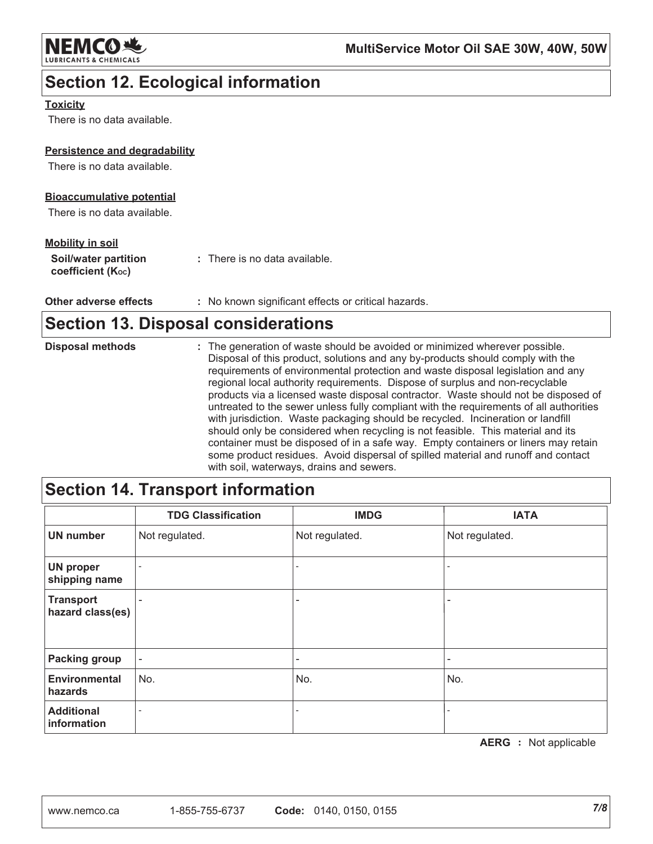

# **Section 12. Ecological information**

#### **Toxicity**

There is no data available.

#### Persistence and degradability

There is no data available.

#### **Bioaccumulative potential**

There is no data available.

#### **Mobility in soil**

Other adverse effects : No known significant effects or critical hazards.

### **Section 13. Disposal considerations**

| <b>Disposal methods</b> | : The generation of waste should be avoided or minimized wherever possible.<br>Disposal of this product, solutions and any by-products should comply with the<br>requirements of environmental protection and waste disposal legislation and any<br>regional local authority requirements. Dispose of surplus and non-recyclable<br>products via a licensed waste disposal contractor. Waste should not be disposed of<br>untreated to the sewer unless fully compliant with the requirements of all authorities |
|-------------------------|------------------------------------------------------------------------------------------------------------------------------------------------------------------------------------------------------------------------------------------------------------------------------------------------------------------------------------------------------------------------------------------------------------------------------------------------------------------------------------------------------------------|
|                         | with jurisdiction. Waste packaging should be recycled. Incineration or landfill<br>should only be considered when recycling is not feasible. This material and its<br>container must be disposed of in a safe way. Empty containers or liners may retain<br>some product residues. Avoid dispersal of spilled material and runoff and contact<br>with soil waterways drains and sewers                                                                                                                           |

# **Section 14. Transport information**

|                                      | <b>TDG Classification</b> | <b>IMDG</b>              | <b>IATA</b>    |
|--------------------------------------|---------------------------|--------------------------|----------------|
| <b>UN number</b>                     | Not regulated.            | Not regulated.           | Not regulated. |
| <b>UN proper</b><br>shipping name    | $\overline{\phantom{a}}$  | $\overline{\phantom{a}}$ |                |
| <b>Transport</b><br>hazard class(es) | -                         | $\overline{\phantom{0}}$ |                |
| <b>Packing group</b>                 | $\overline{\phantom{a}}$  | $\overline{\phantom{0}}$ |                |
| <b>Environmental</b><br>hazards      | No.                       | No.                      | No.            |
| <b>Additional</b><br>information     | $\overline{\phantom{a}}$  | $\overline{\phantom{a}}$ |                |

**AERG** : Not applicable